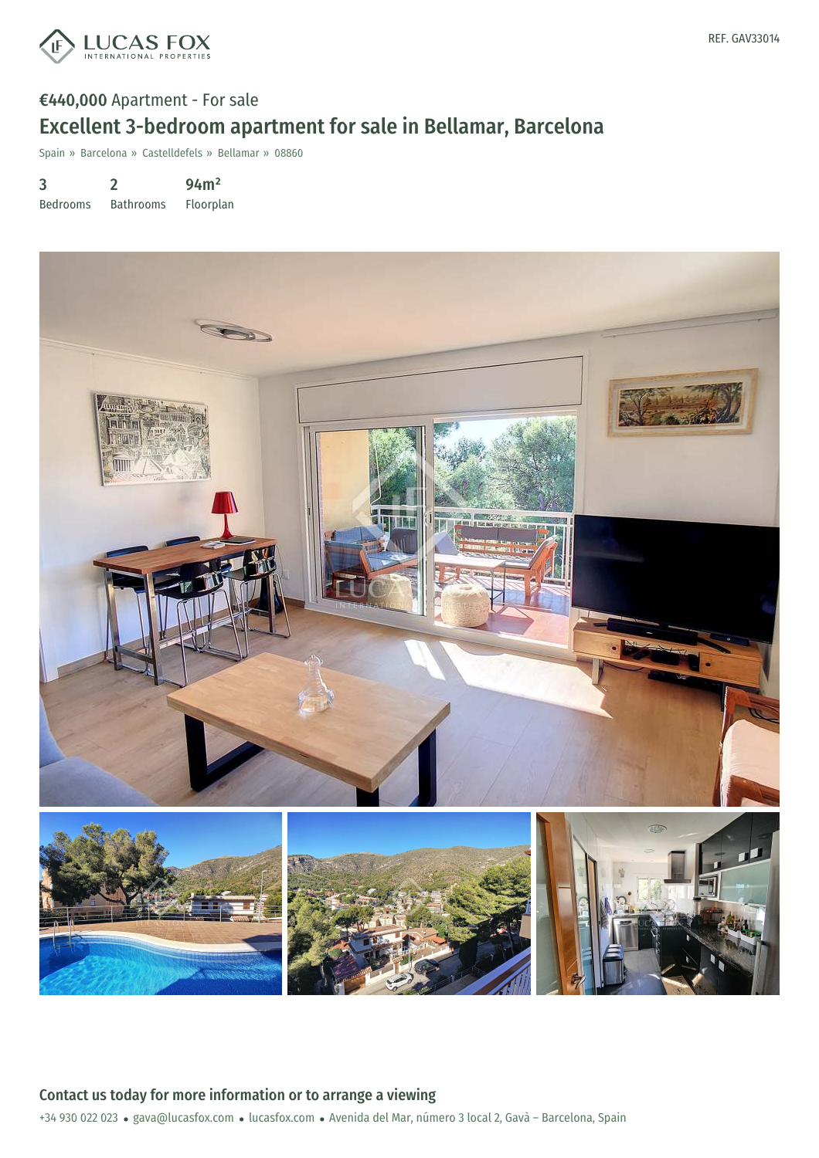

## €440,000 Apartment - For sale Excellent 3-bedroom apartment for sale in Bellamar, Barcelona

Spain » Barcelona » Castelldefels » Bellamar » 08860

3 Bedrooms 2 Bathrooms 94m² Floorplan



+34 930 022 023 · gava@lucasfox.com · lucasfox.com · Avenida del Mar, número 3 local 2, Gavà - Barcelona, Spain Contact us today for more information or to arrange a viewing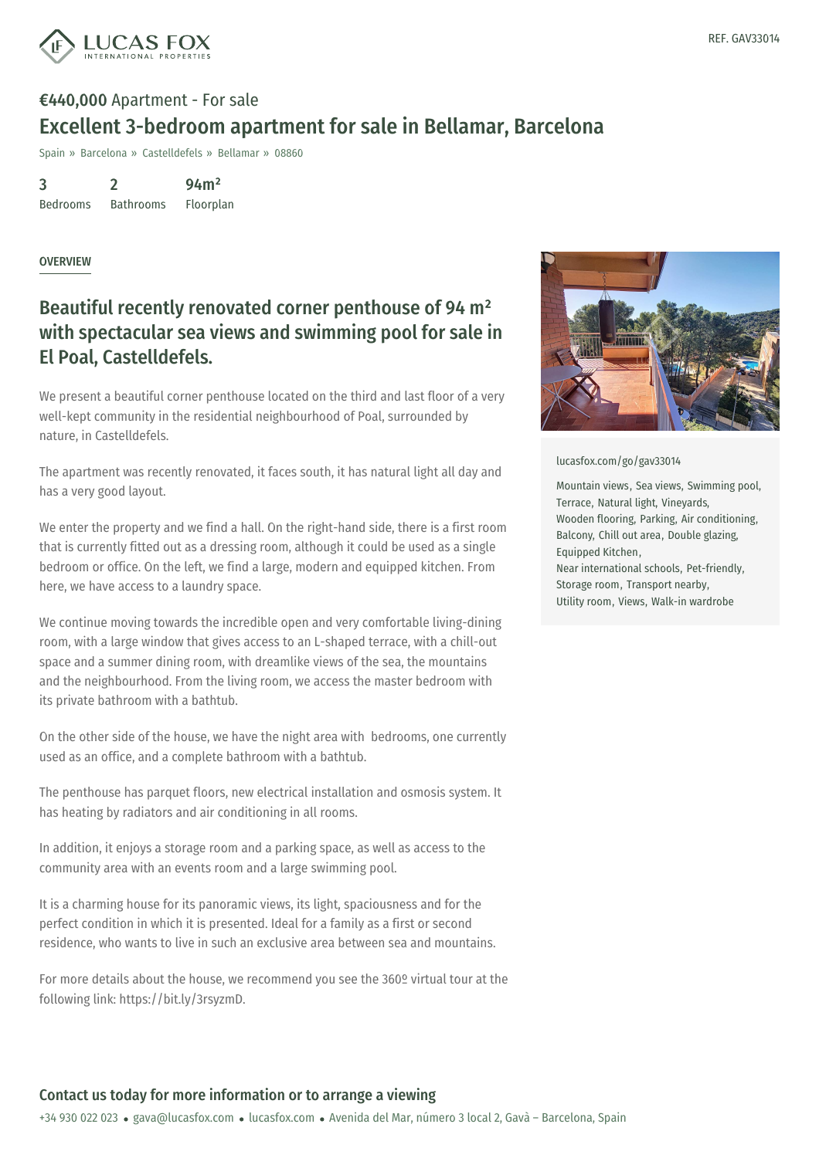

# €440,000 Apartment - For sale Excellent 3-bedroom apartment for sale in Bellamar, Barcelona

Spain » Barcelona » Castelldefels » Bellamar » 08860

3 Bedrooms 2 Bathrooms 94m² Floorplan

#### OVERVIEW

## Beautiful recently renovated corner penthouse of 94 m² with spectacular sea views and swimming pool for sale in El Poal, Castelldefels.

We present a beautiful corner penthouse located on the third and last floor of a very well-kept community in the residential neighbourhood of Poal, surrounded by nature, in Castelldefels.

The apartment was recently renovated, it faces south, it has natural light all day and has a very good layout.

We enter the property and we find a hall. On the right-hand side, there is a first room that is currently fitted out as a dressing room, although it could be used as a single bedroom or office. On the left, we find a large, modern and equipped kitchen. From here, we have access to a laundry space.

We continue moving towards the incredible open and very comfortable living-dining room, with a large window that gives access to an L-shaped terrace, with a chill-out space and a summer dining room, with dreamlike views of the sea, the mountains and the neighbourhood. From the living room, we access the master bedroom with its private bathroom with a bathtub.

On the other side of the house, we have the night area with bedrooms, one currently used as an office, and a complete bathroom with a bathtub.

The penthouse has parquet floors, new electrical installation and osmosis system. It has heating by radiators and air conditioning in all rooms.

In addition, it enjoys a storage room and a parking space, as well as access to the community area with an [events](mailto:gava@lucasfox.com) room and a [large](https://www.lucasfox.com) swimming pool.

It is a charming house for its panoramic views, its light, spaciousness and for the perfect condition in which it is presented. Ideal for a family as a first or second residence, who wants to live in such an exclusive area between sea and mountains.

For more details about the house, we recommend you see the 360<sup>o</sup> virtual tour at the following link: https://bit.ly/3rsyzmD.



[lucasfox.com/go/gav33014](https://www.lucasfox.com/go/gav33014)

Mountain views, Sea views, Swimming pool, Terrace, Natural light, Vineyards, Wooden flooring, Parking, Air conditioning, Balcony, Chill out area, Double glazing, Equipped Kitchen, Near international schools, Pet-friendly, Storage room, Transport nearby, Utility room, Views, Walk-in wardrobe

### Contact us today for more information or to arrange a viewing

+34 930 022 023 · gava@lucasfox.com · lucasfox.com · Avenida del Mar, número 3 local 2, Gavà – Barcelona, Spain